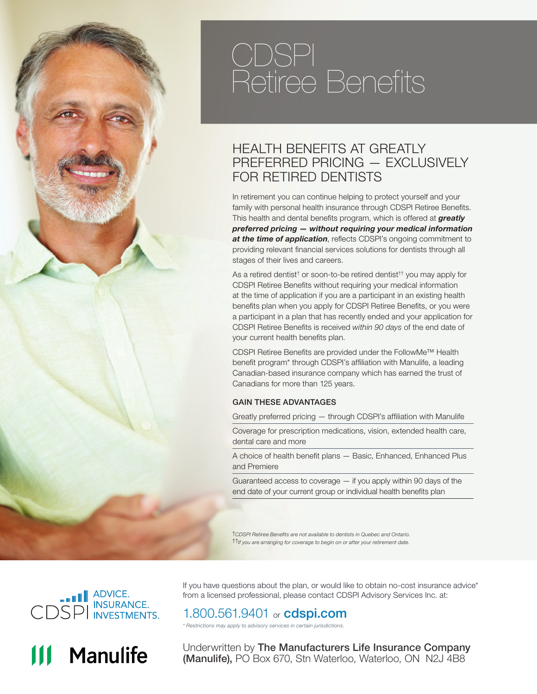# CDSPI Retiree Benefits

### HEALTH BENEFITS AT GREATLY PREFERRED PRICING — EXCLUSIVELY FOR RETIRED DENTISTS

In retirement you can continue helping to protect yourself and your family with personal health insurance through CDSPI Retiree Benefits. This health and dental benefits program, which is offered at *greatly preferred pricing — without requiring your medical information at the time of application*, reflects CDSPI's ongoing commitment to providing relevant financial services solutions for dentists through all stages of their lives and careers.

As a retired dentist<sup>†</sup> or soon-to-be retired dentist<sup>††</sup> you may apply for CDSPI Retiree Benefits without requiring your medical information at the time of application if you are a participant in an existing health benefits plan when you apply for CDSPI Retiree Benefits, or you were a participant in a plan that has recently ended and your application for CDSPI Retiree Benefits is received *within 90 days* of the end date of your current health benefits plan.

CDSPI Retiree Benefits are provided under the FollowMe™ Health benefit program\* through CDSPI's affiliation with Manulife, a leading Canadian-based insurance company which has earned the trust of Canadians for more than 125 years.

#### GAIN THESE ADVANTAGES

Greatly preferred pricing — through CDSPI's affiliation with Manulife

Coverage for prescription medications, vision, extended health care, dental care and more

A choice of health benefit plans — Basic, Enhanced, Enhanced Plus and Premiere

Guaranteed access to coverage — if you apply within 90 days of the end date of your current group or individual health benefits plan

†*CDSPI Retiree Benefits are not available to dentists in Quebec and Ontario.*  ††*If you are arranging for coverage to begin on or after your retirement date.*





If you have questions about the plan, or would like to obtain no-cost insurance advice\* from a licensed professional, please contact CDSPI Advisory Services Inc. at:

### 1.800.561.9401 or **cdspi.com**

*\* Restrictions may apply to advisory services in certain jurisdictions.*

Underwritten by The Manufacturers Life Insurance Company (Manulife), PO Box 670, Stn Waterloo, Waterloo, ON N2J 4B8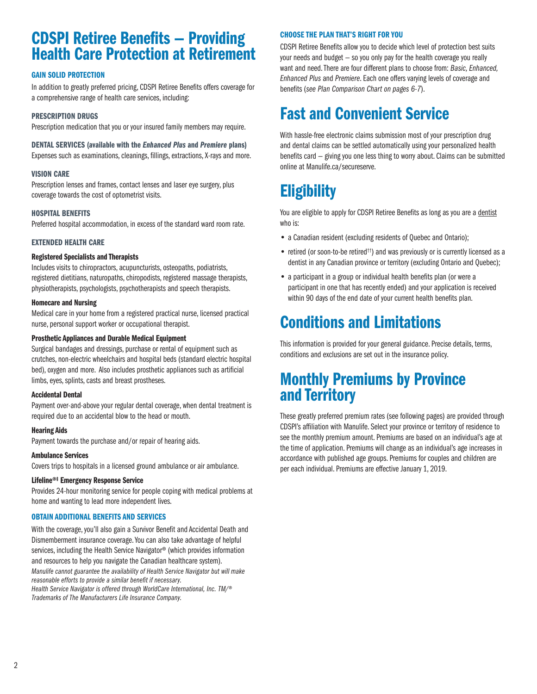### CDSPI Retiree Benefits — Providing Health Care Protection at Retirement

#### GAIN SOLID PROTECTION

In addition to greatly preferred pricing, CDSPI Retiree Benefits offers coverage for a comprehensive range of health care services, including:

#### PRESCRIPTION DRUGS

Prescription medication that you or your insured family members may require.

#### DENTAL SERVICES (available with the *Enhanced Plus* and *Premiere* plans)

Expenses such as examinations, cleanings, fillings, extractions, X-rays and more.

#### VISION CARE

Prescription lenses and frames, contact lenses and laser eye surgery, plus coverage towards the cost of optometrist visits.

#### HOSPITAL BENEFITS

Preferred hospital accommodation, in excess of the standard ward room rate.

#### EXTENDED HEALTH CARE

#### Registered Specialists and Therapists

Includes visits to chiropractors, acupuncturists, osteopaths, podiatrists, registered dietitians, naturopaths, chiropodists, registered massage therapists, physiotherapists, psychologists, psychotherapists and speech therapists.

#### Homecare and Nursing

Medical care in your home from a registered practical nurse, licensed practical nurse, personal support worker or occupational therapist.

#### Prosthetic Appliances and Durable Medical Equipment

Surgical bandages and dressings, purchase or rental of equipment such as crutches, non-electric wheelchairs and hospital beds (standard electric hospital bed), oxygen and more. Also includes prosthetic appliances such as artificial limbs, eyes, splints, casts and breast prostheses.

#### Accidental Dental

Payment over-and-above your regular dental coverage, when dental treatment is required due to an accidental blow to the head or mouth.

#### Hearing Aids

Payment towards the purchase and/or repair of hearing aids.

#### Ambulance Services

Covers trips to hospitals in a licensed ground ambulance or air ambulance.

#### Lifeline®‡ Emergency Response Service

Provides 24-hour monitoring service for people coping with medical problems at home and wanting to lead more independent lives.

#### OBTAIN ADDITIONAL BENEFITS AND SERVICES

With the coverage, you'll also gain a Survivor Benefit and Accidental Death and Dismemberment insurance coverage. You can also take advantage of helpful services, including the Health Service Navigator® (which provides information and resources to help you navigate the Canadian healthcare system). *Manulife cannot guarantee the availability of Health Service Navigator but will make reasonable efforts to provide a similar benefit if necessary. Health Service Navigator is offered through WorldCare International, Inc. TM/® Trademarks of The Manufacturers Life Insurance Company.*

#### CHOOSE THE PLAN THAT'S RIGHT FOR YOU

CDSPI Retiree Benefits allow you to decide which level of protection best suits your needs and budget — so you only pay for the health coverage you really want and need. There are four different plans to choose from: *Basic, Enhanced, Enhanced Plus* and *Premiere*. Each one offers varying levels of coverage and benefits (*see Plan Comparison Chart on pages 6-7*).

## Fast and Convenient Service

With hassle-free electronic claims submission most of your prescription drug and dental claims can be settled automatically using your personalized health benefits card — giving you one less thing to worry about. Claims can be submitted online at Manulife.ca/secureserve.

# **Eligibility**

You are eligible to apply for CDSPI Retiree Benefits as long as you are a dentist who is:

- a Canadian resident (excluding residents of Quebec and Ontario);
- retired (or soon-to-be retired<sup>††</sup>) and was previously or is currently licensed as a dentist in any Canadian province or territory (excluding Ontario and Quebec);
- a participant in a group or individual health benefits plan (or were a participant in one that has recently ended) and your application is received within 90 days of the end date of your current health benefits plan.

# Conditions and Limitations

This information is provided for your general guidance. Precise details, terms, conditions and exclusions are set out in the insurance policy.

### Monthly Premiums by Province and Territory

These greatly preferred premium rates (see following pages) are provided through CDSPI's affiliation with Manulife. Select your province or territory of residence to see the monthly premium amount. Premiums are based on an individual's age at the time of application. Premiums will change as an individual's age increases in accordance with published age groups. Premiums for couples and children are per each individual. Premiums are effective January 1, 2019.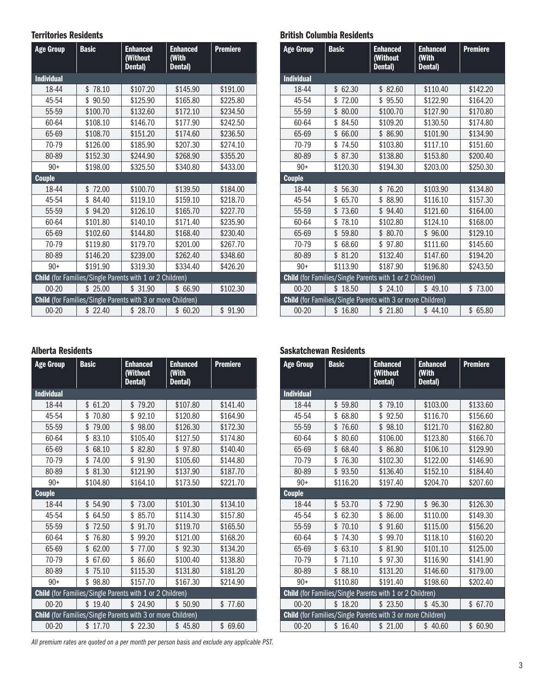#### Territories Residents

| <b>Age Group</b>  | <b>Basic</b>                                                       | <b>Enhanced</b><br>(Without<br>Dental) | <b>Enhanced</b><br>(With<br>Dental) | <b>Premiere</b> |
|-------------------|--------------------------------------------------------------------|----------------------------------------|-------------------------------------|-----------------|
| <b>Individual</b> |                                                                    |                                        |                                     |                 |
| 18-44             | \$<br>78.10                                                        | \$107.20                               | \$145.90                            | \$191.00        |
| 45-54             | \$90.50                                                            | \$125.90                               | \$165.80                            | \$225.80        |
| 55-59             | \$100.70                                                           | \$132.60                               | \$172.10                            | \$234.50        |
| 60-64             | \$108.10                                                           | \$146.70                               | \$177.90                            | \$242.50        |
| 65-69             | \$108.70                                                           | \$151.20                               | \$174.60                            | \$236.50        |
| 70-79             | \$126.00                                                           | \$185.90                               | \$207.30                            | \$274.10        |
| 80-89             | \$152.30                                                           | \$244.90                               | \$268.90                            | \$355.20        |
| $90+$             | \$198.00                                                           | \$325.50                               | \$340.80                            | \$433.00        |
| <b>Couple</b>     |                                                                    |                                        |                                     |                 |
| 18-44             | 72.00<br>\$                                                        | \$100.70                               | \$139.50                            | \$184.00        |
| 45-54             | \$84.40                                                            | \$119.10                               | \$159.10                            | \$218.70        |
| 55-59             | \$94.20                                                            | \$126.10                               | \$165.70                            | \$227.70        |
| 60-64             | \$101.80                                                           | \$140.10                               | \$171.40                            | \$235.90        |
| 65-69             | \$102.60                                                           | \$144.80                               | \$168.40                            | \$230.40        |
| 70-79             | \$119.80                                                           | \$179.70                               | \$201.00                            | \$267.70        |
| 80-89             | \$146.20                                                           | \$239.00                               | \$262.40                            | \$348.60        |
| $90+$             | \$191.90                                                           | \$319.30                               | \$334.40                            | \$426.20        |
|                   | Child (for Families/Single Parents with 1 or 2 Children)           |                                        |                                     |                 |
| $00 - 20$         | \$25.00                                                            | \$31.90                                | \$66.90                             | \$102.30        |
|                   | <b>Child</b> (for Families/Single Parents with 3 or more Children) |                                        |                                     |                 |
| $00 - 20$         | \$22.40                                                            | \$28.70                                | \$60.20                             | \$91.90         |

#### Alberta Residents

| <b>Age Group</b>  | <b>Basic</b><br><b>Enhanced</b><br>(Without<br>Dental)             |             | <b>Enhanced</b><br>(With<br>Dental) | <b>Premiere</b> |  |
|-------------------|--------------------------------------------------------------------|-------------|-------------------------------------|-----------------|--|
| <b>Individual</b> |                                                                    |             |                                     |                 |  |
| 18-44             | 61.20<br>\$                                                        | \$<br>79.20 | \$107.80                            | \$141.40        |  |
| 45-54             | \$<br>70.80                                                        | \$<br>92.10 | \$120.80                            | \$164.90        |  |
| 55-59             | \$<br>79.00                                                        | \$<br>98.00 | \$126.30                            | \$172.30        |  |
| 60-64             | \$<br>83.10                                                        | \$105.40    | \$127.50                            | \$174.80        |  |
| 65-69             | \$<br>68.10                                                        | 82.80<br>\$ | \$97.80                             | \$140.40        |  |
| 70-79             | \$<br>74.00                                                        | \$<br>91.90 | \$105.60                            | \$144.80        |  |
| 80-89             | \$<br>81.30                                                        | \$121.90    | \$137.90                            | \$187.70        |  |
| $90+$             | \$104.80                                                           | \$164.10    | \$173.50                            | \$221.70        |  |
| <b>Couple</b>     |                                                                    |             |                                     |                 |  |
| 18-44             | 54.90<br>\$                                                        | 73.00<br>\$ | \$101.30                            | \$134.10        |  |
| 45-54             | \$<br>64.50                                                        | \$<br>85.70 | \$114.30                            | \$157.80        |  |
| 55-59             | \$<br>72.50                                                        | \$<br>91.70 | \$119.70                            | \$165.50        |  |
| 60-64             | \$<br>76.80                                                        | \$<br>99.20 | \$121.00                            | \$168.20        |  |
| 65-69             | \$<br>62.00                                                        | 77.00<br>\$ | \$92.30                             | \$134.20        |  |
| 70-79             | \$<br>67.60                                                        | 86.60<br>\$ | \$100.40                            | \$138.80        |  |
| 80-89             | \$<br>75.10                                                        | \$115.30    | \$131.80                            | \$181.20        |  |
| $90+$             | \$<br>98.80                                                        | \$157.70    | \$167.30                            | \$214.90        |  |
|                   | <b>Child</b> (for Families/Single Parents with 1 or 2 Children)    |             |                                     |                 |  |
| $00 - 20$         | \$19.40                                                            | \$24.90     | \$50.90                             | \$77.60         |  |
|                   | <b>Child</b> (for Families/Single Parents with 3 or more Children) |             |                                     |                 |  |
| $00 - 20$         | \$17.70                                                            | \$22.30     | \$45.80                             | \$69.60         |  |

British Columbia Residents

| <b>Age Group</b>  | <b>Basic</b>                                                | <b>Enhanced</b><br>(Without<br>Dental) | <b>Enhanced</b><br>(With<br>Dental) | <b>Premiere</b> |
|-------------------|-------------------------------------------------------------|----------------------------------------|-------------------------------------|-----------------|
| <b>Individual</b> |                                                             |                                        |                                     |                 |
| 18-44             | 62.30<br>\$                                                 | \$82.60                                | \$110.40                            | \$142.20        |
| 45-54             | \$<br>72.00                                                 | \$95.50                                | \$122.90                            | \$164.20        |
| 55-59             | \$<br>80.00                                                 | \$100.70                               | \$127.90                            | \$170.80        |
| 60-64             | \$<br>84.50                                                 | \$109.20                               | \$130.50                            | \$174.80        |
| 65-69             | \$<br>66.00                                                 | \$86.90                                | \$101.90                            | \$134.90        |
| 70-79             | \$<br>74.50                                                 | \$103.80                               | \$117.10                            | \$151.60        |
| 80-89             | \$<br>87.30                                                 | \$138.80                               | \$153.80                            | \$200.40        |
| $90+$             | \$120.30                                                    | \$194.30                               | \$203.00                            | \$250.30        |
| <b>Couple</b>     |                                                             |                                        |                                     |                 |
| 18-44             | \$<br>56.30                                                 | 76.20<br>\$                            | \$103.90                            | \$134.80        |
| 45-54             | 65.70<br>\$                                                 | \$ 88.90                               | \$116.10                            | \$157.30        |
| 55-59             | \$<br>73.60                                                 | \$94.40                                | \$121.60                            | \$164.00        |
| 60-64             | \$<br>78.10                                                 | \$102.80                               | \$124.10                            | \$168.00        |
| 65-69             | \$<br>59.80                                                 | \$80.70                                | \$96.00                             | \$129.10        |
| 70-79             | \$<br>68.60                                                 | \$97.80                                | \$111.60                            | \$145.60        |
| 80-89             | 81.20<br>\$                                                 | \$132.40                               | \$147.60                            | \$194.20        |
| $90+$             | \$113.90                                                    | \$187.90                               | \$196.80                            | \$243.50        |
|                   | Child (for Families/Single Parents with 1 or 2 Children)    |                                        |                                     |                 |
| $00 - 20$         | \$18.50                                                     | \$24.10                                | \$49.10                             | \$73.00         |
|                   | Child (for Families/Single Parents with 3 or more Children) |                                        |                                     |                 |
| $00 - 20$         | \$16.80                                                     | \$21.80                                | \$44.10                             | \$65.80         |

#### Saskatchewan Residents

| <b>Age Group</b>  | <b>Basic</b>                                                       | <b>Enhanced</b><br>(Without<br>Dental) | <b>Enhanced</b><br>(With<br>Dental) | <b>Premiere</b> |
|-------------------|--------------------------------------------------------------------|----------------------------------------|-------------------------------------|-----------------|
| <b>Individual</b> |                                                                    |                                        |                                     |                 |
| 18-44             | \$<br>59.80                                                        | \$<br>79.10                            | \$103.00                            | \$133.60        |
| 45-54             | \$<br>68.80                                                        | \$<br>92.50                            | \$116.70                            | \$156.60        |
| 55-59             | \$<br>76.60                                                        | \$<br>98.10                            | \$121.70                            | \$162.80        |
| 60-64             | \$<br>80.60                                                        | \$106.00                               | \$123.80                            | \$166.70        |
| 65-69             | \$<br>68.40                                                        | \$<br>86.80                            | \$106.10                            | \$129.90        |
| 70-79             | \$<br>76.30                                                        | \$102.30                               | \$122.00                            | \$146.90        |
| 80-89             | \$<br>93.50                                                        | \$136.40                               | \$152.10                            | \$184.40        |
| $90+$             | \$116.20                                                           | \$197.40                               | \$204.70                            | \$207.60        |
| <b>Couple</b>     |                                                                    |                                        |                                     |                 |
| 18-44             | 53.70<br>\$                                                        | 72.90<br>\$                            | \$96.30                             | \$126.30        |
| 45-54             | \$<br>62.30                                                        | \$<br>86.00                            | \$110.00                            | \$149.30        |
| 55-59             | \$<br>70.10                                                        | \$<br>91.60                            | \$115.00                            | \$156.20        |
| 60-64             | 74.30<br>\$                                                        | \$<br>99.70                            | \$118.10                            | \$160.20        |
| 65-69             | \$<br>63.10                                                        | \$<br>81.90                            | \$101.10                            | \$125.00        |
| 70-79             | 71.10<br>\$                                                        | \$<br>97.30                            | \$116.90                            | \$141.90        |
| 80-89             | \$<br>88.10                                                        | \$131.20                               | \$146.60                            | \$179.00        |
| $90+$             | \$110.80                                                           | \$191.40                               | \$198.60                            | \$202.40        |
|                   | Child (for Families/Single Parents with 1 or 2 Children)           |                                        |                                     |                 |
| $00 - 20$         | \$18.20                                                            | \$23.50                                | \$45.30                             | \$67.70         |
|                   | <b>Child</b> (for Families/Single Parents with 3 or more Children) |                                        |                                     |                 |
| $00 - 20$         | \$16.40                                                            | \$21.00                                | \$40.60                             | \$60.90         |

*All premium rates are quoted on a per month per person basis and exclude any applicable PST.*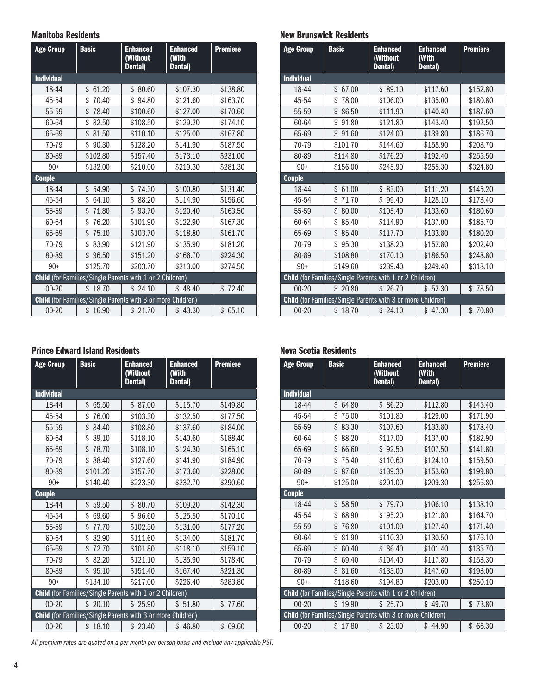#### Manitoba Residents

| <b>Age Group</b>  | <b>Basic</b>                                                       | <b>Enhanced</b><br>(Without<br>Dental) | <b>Enhanced</b><br>(With<br>Dental) | <b>Premiere</b> |
|-------------------|--------------------------------------------------------------------|----------------------------------------|-------------------------------------|-----------------|
| <b>Individual</b> |                                                                    |                                        |                                     |                 |
| 18-44             | \$<br>61.20                                                        | \$80.60                                | \$107.30                            | \$138.80        |
| 45-54             | \$<br>70.40                                                        | \$94.80                                | \$121.60                            | \$163.70        |
| 55-59             | \$<br>78.40                                                        | \$100.60                               | \$127.00                            | \$170.60        |
| 60-64             | \$<br>82.50                                                        | \$108.50                               | \$129.20                            | \$174.10        |
| 65-69             | \$<br>81.50                                                        | \$110.10                               | \$125.00                            | \$167.80        |
| 70-79             | \$<br>90.30                                                        | \$128.20                               | \$141.90                            | \$187.50        |
| 80-89             | \$102.80                                                           | \$157.40                               | \$173.10                            | \$231.00        |
| $90+$             | \$132.00                                                           | \$210.00                               | \$219.30                            | \$281.30        |
| <b>Couple</b>     |                                                                    |                                        |                                     |                 |
| 18-44             | \$<br>54.90                                                        | 74.30<br>\$                            | \$100.80                            | \$131.40        |
| 45-54             | \$<br>64.10                                                        | \$ 88.20                               | \$114.90                            | \$156.60        |
| 55-59             | \$<br>71.80                                                        | \$93.70                                | \$120.40                            | \$163.50        |
| 60-64             | 76.20<br>\$                                                        | \$101.90                               | \$122.90                            | \$167.30        |
| 65-69             | \$<br>75.10                                                        | \$103.70                               | \$118.80                            | \$161.70        |
| 70-79             | \$<br>83.90                                                        | \$121.90                               | \$135.90                            | \$181.20        |
| 80-89             | \$<br>96.50                                                        | \$151.20                               | \$166.70                            | \$224.30        |
| $90+$             | \$125.70                                                           | \$203.70                               | \$213.00                            | \$274.50        |
|                   | <b>Child</b> (for Families/Single Parents with 1 or 2 Children)    |                                        |                                     |                 |
| $00 - 20$         | \$18.70                                                            | \$24.10                                | \$48.40                             | \$72.40         |
|                   | <b>Child</b> (for Families/Single Parents with 3 or more Children) |                                        |                                     |                 |
| $00 - 20$         | \$16.90                                                            | \$21.70                                | \$43.30                             | \$65.10         |

#### Prince Edward Island Residents

| <b>Age Group</b>  | <b>Basic</b>                                                       | <b>Enhanced</b><br>(Without<br>Dental) | <b>Enhanced</b><br>(With<br>Dental) | <b>Premiere</b> |
|-------------------|--------------------------------------------------------------------|----------------------------------------|-------------------------------------|-----------------|
| <b>Individual</b> |                                                                    |                                        |                                     |                 |
| 18-44             | \$<br>65.50                                                        | \$ 87.00                               | \$115.70                            | \$149.80        |
| 45-54             | \$<br>76.00                                                        | \$103.30                               | \$132.50                            | \$177.50        |
| 55-59             | \$84.40                                                            | \$108.80                               | \$137.60                            | \$184.00        |
| 60-64             | \$<br>89.10                                                        | \$118.10                               | \$140.60                            | \$188.40        |
| 65-69             | \$<br>78.70                                                        | \$108.10                               | \$124.30                            | \$165.10        |
| 70-79             | \$88.40                                                            | \$127.60                               | \$141.90                            | \$184.90        |
| 80-89             | \$101.20                                                           | \$157.70                               | \$173.60                            | \$228.00        |
| $90+$             | \$140.40                                                           | \$223.30                               | \$232.70                            | \$290.60        |
| <b>Couple</b>     |                                                                    |                                        |                                     |                 |
| 18-44             | \$<br>59.50                                                        | \$80.70                                | \$109.20                            | \$142.30        |
| 45-54             | \$<br>69.60                                                        | \$96.60                                | \$125.50                            | \$170.10        |
| 55-59             | \$<br>77.70                                                        | \$102.30                               | \$131.00                            | \$177.20        |
| 60-64             | \$82.90                                                            | \$111.60                               | \$134.00                            | \$181.70        |
| 65-69             | \$<br>72.70                                                        | \$101.80                               | \$118.10                            | \$159.10        |
| 70-79             | \$<br>82.20                                                        | \$121.10                               | \$135.90                            | \$178.40        |
| 80-89             | \$95.10                                                            | \$151.40                               | \$167.40                            | \$221.30        |
| $90+$             | \$134.10                                                           | \$217.00                               | \$226.40                            | \$283.80        |
|                   | Child (for Families/Single Parents with 1 or 2 Children)           |                                        |                                     |                 |
| $00 - 20$         | \$20.10                                                            | \$25.90                                | \$51.80                             | \$77.60         |
|                   | <b>Child</b> (for Families/Single Parents with 3 or more Children) |                                        |                                     |                 |
| $00 - 20$         | \$18.10                                                            | \$23.40                                | \$46.80                             | \$ 69.60        |

*All premium rates are quoted on a per month per person basis and exclude any applicable PST.*

#### New Brunswick Residents

| <b>Age Group</b>  | <b>Basic</b>                                                       | <b>Enhanced</b><br>(Without<br>Dental) | <b>Enhanced</b><br><b>With</b><br>Dental) | <b>Premiere</b> |
|-------------------|--------------------------------------------------------------------|----------------------------------------|-------------------------------------------|-----------------|
| <b>Individual</b> |                                                                    |                                        |                                           |                 |
| 18-44             | \$<br>67.00                                                        | \$89.10                                | \$117.60                                  | \$152.80        |
| 45-54             | \$<br>78.00                                                        | \$106.00                               | \$135.00                                  | \$180.80        |
| 55-59             | \$<br>86.50                                                        | \$111.90                               | \$140.40                                  | \$187.60        |
| 60-64             | \$<br>91.80                                                        | \$121.80                               | \$143.40                                  | \$192.50        |
| 65-69             | \$91.60                                                            | \$124.00                               | \$139.80                                  | \$186.70        |
| 70-79             | \$101.70                                                           | \$144.60                               | \$158.90                                  | \$208.70        |
| 80-89             | \$114.80                                                           | \$176.20                               | \$192.40                                  | \$255.50        |
| $90+$             | \$156.00                                                           | \$245.90                               | \$255.30                                  | \$324.80        |
| <b>Couple</b>     |                                                                    |                                        |                                           |                 |
| 18-44             | 61.00<br>\$                                                        | \$83.00                                | \$111.20                                  | \$145.20        |
| 45-54             | \$<br>71.70                                                        | \$99.40                                | \$128.10                                  | \$173.40        |
| 55-59             | \$<br>80.00                                                        | \$105.40                               | \$133.60                                  | \$180.60        |
| 60-64             | \$<br>85.40                                                        | \$114.90                               | \$137.00                                  | \$185.70        |
| 65-69             | \$<br>85.40                                                        | \$117.70                               | \$133.80                                  | \$180.20        |
| 70-79             | \$95.30                                                            | \$138.20                               | \$152.80                                  | \$202.40        |
| 80-89             | \$108.80                                                           | \$170.10                               | \$186.50                                  | \$248.80        |
| $90+$             | \$149.60                                                           | \$239.40                               | \$249.40                                  | \$318.10        |
|                   | Child (for Families/Single Parents with 1 or 2 Children)           |                                        |                                           |                 |
| $00 - 20$         | \$20.80                                                            | \$26.70                                | \$52.30                                   | \$78.50         |
|                   | <b>Child</b> (for Families/Single Parents with 3 or more Children) |                                        |                                           |                 |
| $00 - 20$         | \$18.70                                                            | \$24.10                                | \$47.30                                   | \$70.80         |

#### Nova Scotia Residents

| <b>Age Group</b>  | <b>Basic</b>                                                       | <b>Enhanced</b><br>(Without<br>Dental) | <b>Enhanced</b><br>(With<br>Dental) | <b>Premiere</b> |
|-------------------|--------------------------------------------------------------------|----------------------------------------|-------------------------------------|-----------------|
| <b>Individual</b> |                                                                    |                                        |                                     |                 |
| 18-44             | \$64.80                                                            | \$86.20                                | \$112.80                            | \$145.40        |
| 45-54             | \$75.00                                                            | \$101.80                               | \$129.00                            | \$171.90        |
| 55-59             | \$83.30                                                            | \$107.60                               | \$133.80                            | \$178.40        |
| 60-64             | \$88.20                                                            | \$117.00                               | \$137.00                            | \$182.90        |
| 65-69             | \$<br>66.60                                                        | \$92.50                                | \$107.50                            | \$141.80        |
| 70-79             | \$<br>75.40                                                        | \$110.60                               | \$124.10                            | \$159.50        |
| 80-89             | \$<br>87.60                                                        | \$139.30                               | \$153.60                            | \$199.80        |
| $90+$             | \$125.00                                                           | \$201.00                               | \$209.30                            | \$256.80        |
| <b>Couple</b>     |                                                                    |                                        |                                     |                 |
| 18-44             | \$58.50                                                            | \$79.70                                | \$106.10                            | \$138.10        |
| 45-54             | \$<br>68.90                                                        | \$95.20                                | \$121.80                            | \$164.70        |
| 55-59             | \$76.80                                                            | \$101.00                               | \$127.40                            | \$171.40        |
| 60-64             | \$<br>81.90                                                        | \$110.30                               | \$130.50                            | \$176.10        |
| 65-69             | \$60.40                                                            | \$86.40                                | \$101.40                            | \$135.70        |
| 70-79             | \$<br>69.40                                                        | \$104.40                               | \$117.80                            | \$153.30        |
| 80-89             | \$81.60                                                            | \$133.00                               | \$147.60                            | \$193.00        |
| $90+$             | \$118.60                                                           | \$194.80                               | \$203.00                            | \$250.10        |
|                   | Child (for Families/Single Parents with 1 or 2 Children)           |                                        |                                     |                 |
| $00 - 20$         | \$19.90                                                            | \$25.70                                | \$49.70                             | 73.80<br>\$     |
|                   | <b>Child</b> (for Families/Single Parents with 3 or more Children) |                                        |                                     |                 |
| $00 - 20$         | 17.80<br>\$                                                        | \$23.00                                | \$44.90                             | \$<br>66.30     |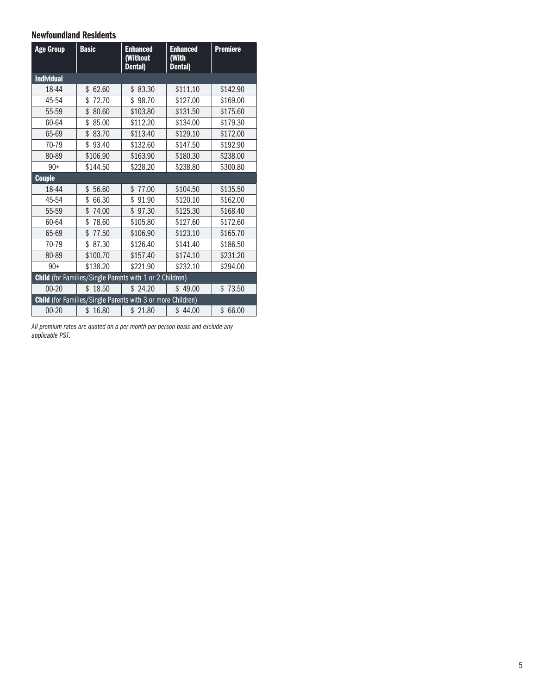#### Newfoundland Residents

| <b>Age Group</b>  | <b>Basic</b>                                                       | <b>Enhanced</b><br>(Without<br>Dental) | <b>Enhanced</b><br>(With<br>Dental) | <b>Premiere</b> |
|-------------------|--------------------------------------------------------------------|----------------------------------------|-------------------------------------|-----------------|
| <b>Individual</b> |                                                                    |                                        |                                     |                 |
| 18-44             | \$<br>62.60                                                        | \$83.30                                | \$111.10                            | \$142.90        |
| 45-54             | \$<br>72.70                                                        | \$98.70                                | \$127.00                            | \$169.00        |
| 55-59             | \$<br>80.60                                                        | \$103.80                               | \$131.50                            | \$175.60        |
| 60-64             | 85.00<br>\$                                                        | \$112.20                               | \$134.00                            | \$179.30        |
| 65-69             | \$83.70                                                            | \$113.40                               | \$129.10                            | \$172.00        |
| 70-79             | \$<br>93.40                                                        | \$132.60                               | \$147.50                            | \$192.90        |
| 80-89             | \$106.90                                                           | \$163.90                               | \$180.30                            | \$238,00        |
| $90+$             | \$144.50                                                           | \$228.20                               | \$238.80                            | \$300.80        |
| <b>Couple</b>     |                                                                    |                                        |                                     |                 |
| 18-44             | 56.60<br>\$                                                        | \$<br>77.00                            | \$104.50                            | \$135.50        |
| 45-54             | \$<br>66.30                                                        | \$91.90                                | \$120.10                            | \$162.00        |
| 55-59             | \$<br>74.00                                                        | \$97.30                                | \$125.30                            | \$168.40        |
| 60-64             | \$<br>78.60                                                        | \$105.80                               | \$127.60                            | \$172.60        |
| 65-69             | \$<br>77.50                                                        | \$106.90                               | \$123.10                            | \$165.70        |
| 70-79             | \$ 87.30                                                           | \$126.40                               | \$141.40                            | \$186.50        |
| 80-89             | \$100.70                                                           | \$157.40                               | \$174.10                            | \$231.20        |
| $90+$             | \$138.20                                                           | \$221.90                               | \$232.10                            | \$294.00        |
|                   | Child (for Families/Single Parents with 1 or 2 Children)           |                                        |                                     |                 |
| $00 - 20$         | \$18.50                                                            | \$24.20                                | \$49.00                             | \$73.50         |
|                   | <b>Child</b> (for Families/Single Parents with 3 or more Children) |                                        |                                     |                 |
| $00 - 20$         | \$16.80                                                            | \$21.80                                | \$44.00                             | \$66.00         |

*All premium rates are quoted on a per month per person basis and exclude any applicable PST.*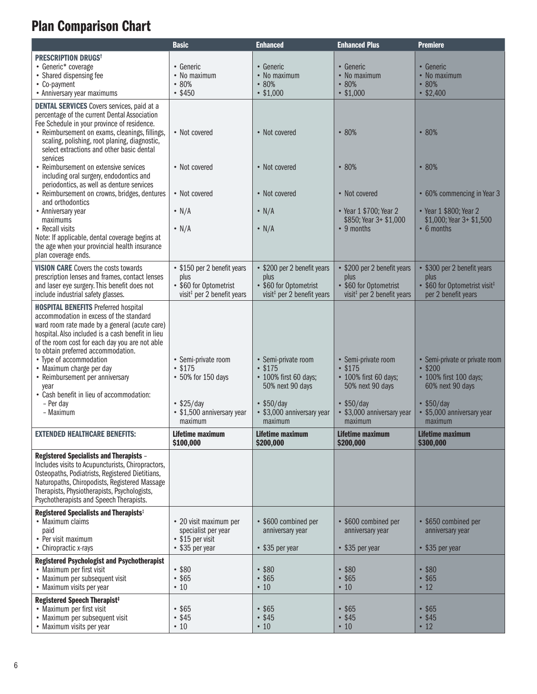# Plan Comparison Chart

|                                                                                                                                                                                                                                                                                                                                                                                                                                                              | <b>Basic</b>                                                                                                      | <b>Enhanced</b>                                                                                                                      | <b>Enhanced Plus</b>                                                                                                                     | <b>Premiere</b>                                                                                                                               |
|--------------------------------------------------------------------------------------------------------------------------------------------------------------------------------------------------------------------------------------------------------------------------------------------------------------------------------------------------------------------------------------------------------------------------------------------------------------|-------------------------------------------------------------------------------------------------------------------|--------------------------------------------------------------------------------------------------------------------------------------|------------------------------------------------------------------------------------------------------------------------------------------|-----------------------------------------------------------------------------------------------------------------------------------------------|
| <b>PRESCRIPTION DRUGS<sup>t</sup></b><br>• Generic* coverage<br>• Shared dispensing fee<br>• Co-payment<br>• Anniversary year maximums                                                                                                                                                                                                                                                                                                                       | • Generic<br>• No maximum<br>•80%<br>• \$450                                                                      | • Generic<br>• No maximum<br>•80%<br>• \$1,000                                                                                       | • Generic<br>• No maximum<br>• 80%<br>• \$1,000                                                                                          | • Generic<br>• No maximum<br>•80%<br>• \$2,400                                                                                                |
| <b>DENTAL SERVICES</b> Covers services, paid at a<br>percentage of the current Dental Association<br>Fee Schedule in your province of residence.<br>• Reimbursement on exams, cleanings, fillings,<br>scaling, polishing, root planing, diagnostic,<br>select extractions and other basic dental<br>services                                                                                                                                                 | • Not covered                                                                                                     | • Not covered                                                                                                                        | •80%                                                                                                                                     | $\cdot 80\%$                                                                                                                                  |
| • Reimbursement on extensive services<br>including oral surgery, endodontics and<br>periodontics, as well as denture services                                                                                                                                                                                                                                                                                                                                | • Not covered                                                                                                     | • Not covered                                                                                                                        | • 80%                                                                                                                                    | • 80%                                                                                                                                         |
| • Reimbursement on crowns, bridges, dentures<br>and orthodontics<br>• Anniversary year<br>maximums                                                                                                                                                                                                                                                                                                                                                           | • Not covered<br>$\cdot$ N/A                                                                                      | • Not covered<br>$\cdot$ N/A                                                                                                         | • Not covered<br>• Year 1 \$700; Year 2<br>\$850; Year 3+ \$1,000                                                                        | • 60% commencing in Year 3<br>• Year 1 \$800; Year 2<br>\$1,000; Year 3+ \$1,500                                                              |
| • Recall visits<br>Note: If applicable, dental coverage begins at<br>the age when your provincial health insurance<br>plan coverage ends.                                                                                                                                                                                                                                                                                                                    | $\cdot$ N/A                                                                                                       | $\cdot$ N/A                                                                                                                          | $\cdot$ 9 months                                                                                                                         | $\cdot$ 6 months                                                                                                                              |
| <b>VISION CARE Covers the costs towards</b><br>prescription lenses and frames, contact lenses<br>and laser eye surgery. This benefit does not<br>include industrial safety glasses.                                                                                                                                                                                                                                                                          | • \$150 per 2 benefit years<br>plus<br>• \$60 for Optometrist<br>visit <sup>#</sup> per 2 benefit years           | • \$200 per 2 benefit years<br>plus<br>• \$60 for Optometrist<br>visit <sup>#</sup> per 2 benefit years                              | • \$200 per 2 benefit years<br>plus<br>• \$60 for Optometrist<br>visit <sup>#</sup> per 2 benefit years                                  | \$300 per 2 benefit years<br>plus<br>• \$60 for Optometrist visit <sup>‡</sup><br>per 2 benefit years                                         |
| <b>HOSPITAL BENEFITS Preferred hospital</b><br>accommodation in excess of the standard<br>ward room rate made by a general (acute care)<br>hospital. Also included is a cash benefit in lieu<br>of the room cost for each day you are not able<br>to obtain preferred accommodation.<br>• Type of accommodation<br>• Maximum charge per day<br>• Reimbursement per anniversary<br>vear<br>• Cash benefit in lieu of accommodation:<br>- Per day<br>- Maximum | • Semi-private room<br>• \$175<br>• 50% for 150 days<br>$\cdot$ \$25/day<br>· \$1,500 anniversary year<br>maximum | • Semi-private room<br>• \$175<br>• 100% first 60 days;<br>50% next 90 days<br>$•$ \$50/day<br>• \$3,000 anniversary year<br>maximum | • Semi-private room<br>• \$175<br>• 100% first 60 days;<br>50% next 90 days<br>$\cdot$ \$50/day<br>• \$3,000 anniversary year<br>maximum | • Semi-private or private room<br>•\$200<br>• 100% first 100 days;<br>60% next 90 days<br>• \$50/day<br>• \$5,000 anniversary year<br>maximum |
| <b>EXTENDED HEALTHCARE BENEFITS:</b>                                                                                                                                                                                                                                                                                                                                                                                                                         | Lifetime maximum<br>\$100,000                                                                                     | Lifetime maximum<br>\$200,000                                                                                                        | <b>Lifetime maximum</b><br>\$200,000                                                                                                     | <b>Lifetime maximum</b><br>\$300,000                                                                                                          |
| <b>Registered Specialists and Therapists -</b><br>Includes visits to Acupuncturists, Chiropractors,<br>Osteopaths, Podiatrists, Registered Dietitians,<br>Naturopaths, Chiropodists, Registered Massage<br>Therapists, Physiotherapists, Psychologists,<br>Psychotherapists and Speech Therapists.                                                                                                                                                           |                                                                                                                   |                                                                                                                                      |                                                                                                                                          |                                                                                                                                               |
| Registered Specialists and Therapists <sup>‡</sup><br>• Maximum claims<br>paid<br>• Per visit maximum<br>• Chiropractic x-rays                                                                                                                                                                                                                                                                                                                               | • 20 visit maximum per<br>specialist per year<br>• \$15 per visit<br>• \$35 per year                              | • \$600 combined per<br>anniversary year<br>• \$35 per year                                                                          | • \$600 combined per<br>anniversary year<br>• \$35 per year                                                                              | • \$650 combined per<br>anniversary year<br>• \$35 per year                                                                                   |
| <b>Registered Psychologist and Psychotherapist</b><br>• Maximum per first visit<br>• Maximum per subsequent visit<br>• Maximum visits per year                                                                                                                                                                                                                                                                                                               | • \$80<br>• \$65<br>$\cdot$ 10                                                                                    | • \$80<br>• \$65<br>$\cdot$ 10                                                                                                       | • \$80<br>• \$65<br>$\cdot$ 10                                                                                                           | • \$80<br>• \$65<br>$\cdot$ 12                                                                                                                |
| Registered Speech Therapist <sup>#</sup><br>• Maximum per first visit<br>• Maximum per subsequent visit<br>• Maximum visits per year                                                                                                                                                                                                                                                                                                                         | • \$65<br>• \$45<br>$\cdot$ 10                                                                                    | • \$65<br>• \$45<br>$\cdot$ 10                                                                                                       | • \$65<br>• \$45<br>$\cdot$ 10                                                                                                           | \$65<br>$\bullet$<br>• \$45<br>$\cdot$ 12                                                                                                     |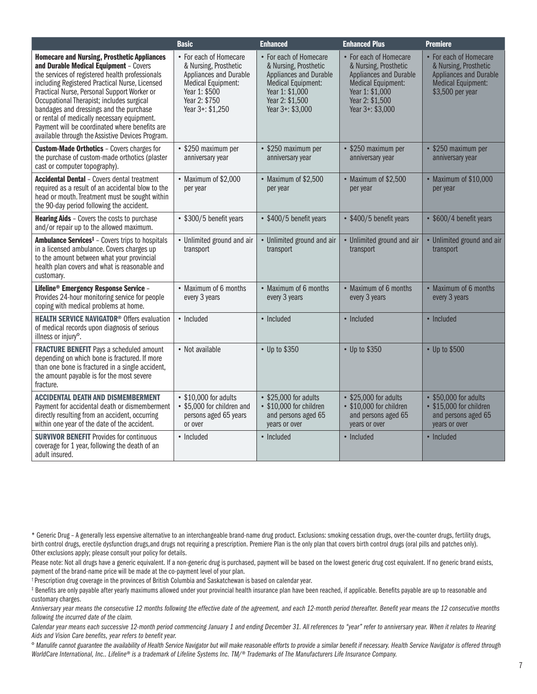|                                                                                                                                                                                                                                                                                                                                                                                                                                                                                               | <b>Basic</b>                                                                                                                                          | <b>Enhanced</b>                                                                                                                                           | <b>Enhanced Plus</b>                                                                                                                                      | <b>Premiere</b>                                                                                                            |
|-----------------------------------------------------------------------------------------------------------------------------------------------------------------------------------------------------------------------------------------------------------------------------------------------------------------------------------------------------------------------------------------------------------------------------------------------------------------------------------------------|-------------------------------------------------------------------------------------------------------------------------------------------------------|-----------------------------------------------------------------------------------------------------------------------------------------------------------|-----------------------------------------------------------------------------------------------------------------------------------------------------------|----------------------------------------------------------------------------------------------------------------------------|
| <b>Homecare and Nursing, Prosthetic Appliances</b><br>and Durable Medical Equipment - Covers<br>the services of registered health professionals<br>including Registered Practical Nurse, Licensed<br>Practical Nurse, Personal Support Worker or<br>Occupational Therapist; includes surgical<br>bandages and dressings and the purchase<br>or rental of medically necessary equipment.<br>Payment will be coordinated where benefits are<br>available through the Assistive Devices Program. | • For each of Homecare<br>& Nursing, Prosthetic<br>Appliances and Durable<br>Medical Equipment:<br>Year 1: \$500<br>Year 2: \$750<br>Year 3+: \$1,250 | • For each of Homecare<br>& Nursing, Prosthetic<br>Appliances and Durable<br>Medical Equipment:<br>Year 1: \$1,000<br>Year 2: \$1,500<br>Year 3+: \$3,000 | • For each of Homecare<br>& Nursing, Prosthetic<br>Appliances and Durable<br>Medical Equipment:<br>Year 1: \$1,000<br>Year 2: \$1,500<br>Year 3+: \$3,000 | • For each of Homecare<br>& Nursing, Prosthetic<br><b>Appliances and Durable</b><br>Medical Equipment:<br>\$3,500 per year |
| <b>Custom-Made Orthotics - Covers charges for</b><br>the purchase of custom-made orthotics (plaster<br>cast or computer topography).                                                                                                                                                                                                                                                                                                                                                          | • \$250 maximum per<br>anniversary year                                                                                                               | • \$250 maximum per<br>anniversary year                                                                                                                   | • \$250 maximum per<br>anniversary year                                                                                                                   | • \$250 maximum per<br>anniversary year                                                                                    |
| <b>Accidental Dental - Covers dental treatment</b><br>required as a result of an accidental blow to the<br>head or mouth. Treatment must be sought within<br>the 90-day period following the accident.                                                                                                                                                                                                                                                                                        | • Maximum of \$2,000<br>per year                                                                                                                      | • Maximum of \$2,500<br>per year                                                                                                                          | • Maximum of \$2,500<br>per year                                                                                                                          | • Maximum of \$10,000<br>per year                                                                                          |
| <b>Hearing Aids</b> - Covers the costs to purchase<br>and/or repair up to the allowed maximum.                                                                                                                                                                                                                                                                                                                                                                                                | • \$300/5 benefit years                                                                                                                               | • \$400/5 benefit years                                                                                                                                   | • \$400/5 benefit years                                                                                                                                   | • \$600/4 benefit years                                                                                                    |
| Ambulance Services <sup>‡</sup> - Covers trips to hospitals<br>in a licensed ambulance. Covers charges up<br>to the amount between what your provincial<br>health plan covers and what is reasonable and<br>customary.                                                                                                                                                                                                                                                                        | • Unlimited ground and air<br>transport                                                                                                               | • Unlimited ground and air<br>transport                                                                                                                   | • Unlimited ground and air<br>transport                                                                                                                   | • Unlimited ground and air<br>transport                                                                                    |
| Lifeline <sup>®</sup> Emergency Response Service -<br>Provides 24-hour monitoring service for people<br>coping with medical problems at home.                                                                                                                                                                                                                                                                                                                                                 | • Maximum of 6 months<br>every 3 years                                                                                                                | • Maximum of 6 months<br>every 3 years                                                                                                                    | • Maximum of 6 months<br>every 3 years                                                                                                                    | • Maximum of 6 months<br>every 3 years                                                                                     |
| <b>HEALTH SERVICE NAVIGATOR<sup>®</sup> Offers evaluation</b><br>of medical records upon diagnosis of serious<br>illness or injury <sup>o</sup> .                                                                                                                                                                                                                                                                                                                                             | • Included                                                                                                                                            | • Included                                                                                                                                                | • Included                                                                                                                                                | • Included                                                                                                                 |
| <b>FRACTURE BENEFIT Pays a scheduled amount</b><br>depending on which bone is fractured. If more<br>than one bone is fractured in a single accident,<br>the amount payable is for the most severe<br>fracture.                                                                                                                                                                                                                                                                                | • Not available                                                                                                                                       | • Up to \$350                                                                                                                                             | • Up to \$350                                                                                                                                             | • Up to \$500                                                                                                              |
| <b>ACCIDENTAL DEATH AND DISMEMBERMENT</b><br>Payment for accidental death or dismemberment<br>directly resulting from an accident, occurring<br>within one year of the date of the accident.                                                                                                                                                                                                                                                                                                  | • \$10,000 for adults<br>• \$5,000 for children and<br>persons aged 65 years<br>or over                                                               | $\cdot$ \$25,000 for adults<br>• \$10,000 for children<br>and persons aged 65<br>years or over                                                            | $\cdot$ \$25,000 for adults<br>• \$10,000 for children<br>and persons aged 65<br>years or over                                                            | • \$50,000 for adults<br>• \$15,000 for children<br>and persons aged 65<br>years or over                                   |
| <b>SURVIVOR BENEFIT Provides for continuous</b><br>coverage for 1 year, following the death of an<br>adult insured.                                                                                                                                                                                                                                                                                                                                                                           | • Included                                                                                                                                            | • Included                                                                                                                                                | • Included                                                                                                                                                | • Included                                                                                                                 |

\* Generic Drug – A generally less expensive alternative to an interchangeable brand-name drug product. Exclusions: smoking cessation drugs, over-the-counter drugs, fertility drugs, birth control drugs, erectile dysfunction drugs,and drugs not requiring a prescription. Premiere Plan is the only plan that covers birth control drugs (oral pills and patches only). Other exclusions apply; please consult your policy for details.

Please note: Not all drugs have a generic equivalent. If a non-generic drug is purchased, payment will be based on the lowest generic drug cost equivalent. If no generic brand exists, payment of the brand-name price will be made at the co-payment level of your plan.

† Prescription drug coverage in the provinces of British Columbia and Saskatchewan is based on calendar year.

‡ Benefits are only payable after yearly maximums allowed under your provincial health insurance plan have been reached, if applicable. Benefits payable are up to reasonable and customary charges.

*Anniversary year means the consecutive 12 months following the effective date of the agreement, and each 12-month period thereafter. Benefit year means the 12 consecutive months following the incurred date of the claim.*

*Calendar year means each successive 12-month period commencing January 1 and ending December 31. All references to "year" refer to anniversary year. When it relates to Hearing Aids and Vision Care benefits, year refers to benefit year.*

º *Manulife cannot guarantee the availability of Health Service Navigator but will make reasonable efforts to provide a similar benefit if necessary. Health Service Navigator is offered through WorldCare International, Inc.. Lifeline® is a trademark of Lifeline Systems Inc. TM/® Trademarks of The Manufacturers Life Insurance Company.*